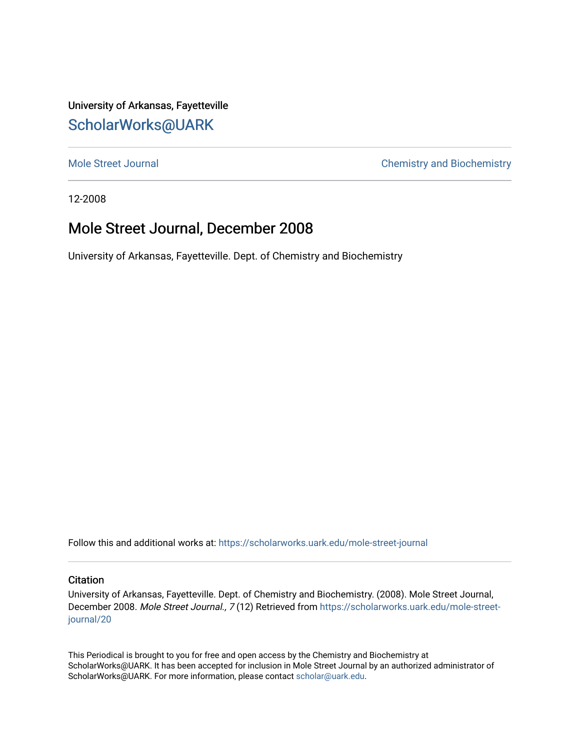University of Arkansas, Fayetteville [ScholarWorks@UARK](https://scholarworks.uark.edu/) 

[Mole Street Journal](https://scholarworks.uark.edu/mole-street-journal) **Chemistry and Biochemistry** 

12-2008

### Mole Street Journal, December 2008

University of Arkansas, Fayetteville. Dept. of Chemistry and Biochemistry

Follow this and additional works at: [https://scholarworks.uark.edu/mole-street-journal](https://scholarworks.uark.edu/mole-street-journal?utm_source=scholarworks.uark.edu%2Fmole-street-journal%2F20&utm_medium=PDF&utm_campaign=PDFCoverPages) 

#### **Citation**

University of Arkansas, Fayetteville. Dept. of Chemistry and Biochemistry. (2008). Mole Street Journal, December 2008. Mole Street Journal., 7 (12) Retrieved from [https://scholarworks.uark.edu/mole-street](https://scholarworks.uark.edu/mole-street-journal/20?utm_source=scholarworks.uark.edu%2Fmole-street-journal%2F20&utm_medium=PDF&utm_campaign=PDFCoverPages)[journal/20](https://scholarworks.uark.edu/mole-street-journal/20?utm_source=scholarworks.uark.edu%2Fmole-street-journal%2F20&utm_medium=PDF&utm_campaign=PDFCoverPages) 

This Periodical is brought to you for free and open access by the Chemistry and Biochemistry at ScholarWorks@UARK. It has been accepted for inclusion in Mole Street Journal by an authorized administrator of ScholarWorks@UARK. For more information, please contact [scholar@uark.edu](mailto:scholar@uark.edu).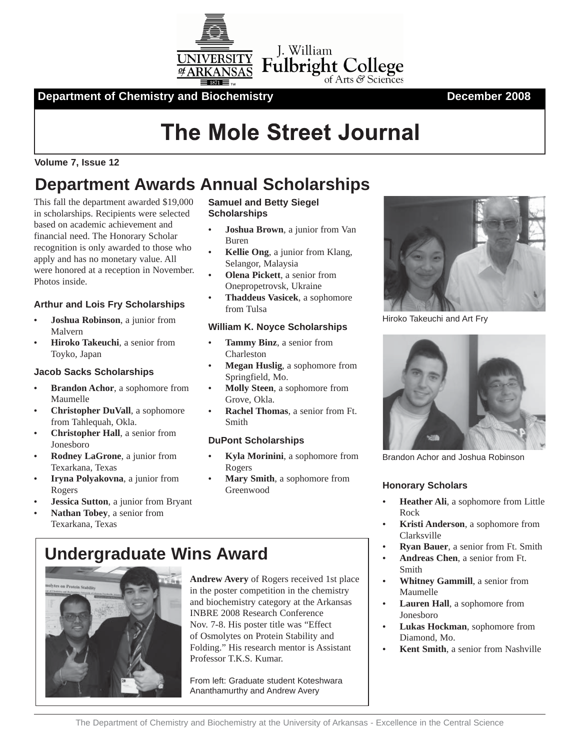

**Department of Chemistry and Biochemistry Changes 2008** December 2008

# **The Mole Street Journal**

### **Volume 7, Issue 12**

# **Department Awards Annual Scholarships**

This fall the department awarded \$19,000 in scholarships. Recipients were selected based on academic achievement and financial need. The Honorary Scholar recognition is only awarded to those who apply and has no monetary value. All were honored at a reception in November. Photos inside.

### **Arthur and Lois Fry Scholarships**

- **Joshua Robinson**, a junior from Malvern
- **Hiroko Takeuchi**, a senior from Toyko, Japan

#### **Jacob Sacks Scholarships**

- **Brandon Achor**, a sophomore from Maumelle
- **Christopher DuVall**, a sophomore from Tahlequah, Okla.
- **Christopher Hall**, a senior from Jonesboro
- **Rodney LaGrone**, a junior from Texarkana, Texas
- **Iryna Polyakovna**, a junior from Rogers
- **Jessica Sutton**, a junior from Bryant
- **Nathan Tobey**, a senior from Texarkana, Texas

#### **Samuel and Betty Siegel Scholarships**

- **Joshua Brown**, a junior from Van Buren
- **Kellie Ong**, a junior from Klang, Selangor, Malaysia
- **Olena Pickett**, a senior from Onepropetrovsk, Ukraine
- **Thaddeus Vasicek**, a sophomore from Tulsa

#### **William K. Noyce Scholarships**

- **Tammy Binz**, a senior from Charleston
- **Megan Huslig**, a sophomore from Springfield, Mo.
- **Molly Steen**, a sophomore from Grove, Okla.
- **Rachel Thomas**, a senior from Ft. Smith

#### **DuPont Scholarships**

- **Kyla Morinini**, a sophomore from Rogers
- **Mary Smith**, a sophomore from Greenwood **Honorary Scholars**





**Andrew Avery** of Rogers received 1st place in the poster competition in the chemistry and biochemistry category at the Arkansas INBRE 2008 Research Conference Nov. 7-8. His poster title was "Effect of Osmolytes on Protein Stability and Folding." His research mentor is Assistant Professor T.K.S. Kumar.

From left: Graduate student Koteshwara Ananthamurthy and Andrew Avery



Hiroko Takeuchi and Art Fry



Brandon Achor and Joshua Robinson

- **Heather Ali**, a sophomore from Little Rock
- **Kristi Anderson**, a sophomore from Clarksville
- **Ryan Bauer**, a senior from Ft. Smith
- **Andreas Chen**, a senior from Ft. Smith
- **Whitney Gammill**, a senior from Maumelle
- **Lauren Hall**, a sophomore from Jonesboro
- **Lukas Hockman**, sophomore from Diamond, Mo.
- **Kent Smith**, a senior from Nashville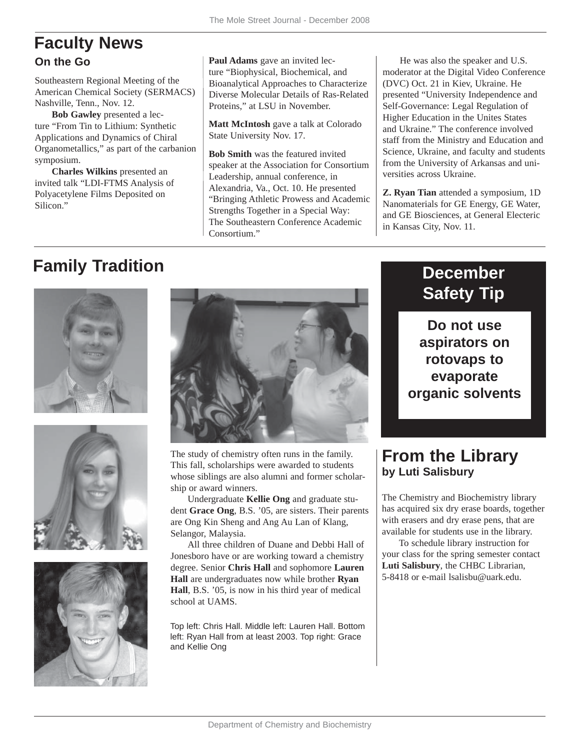### **Faculty News On the Go**

Southeastern Regional Meeting of the American Chemical Society (SERMACS) Nashville, Tenn., Nov. 12.

**Bob Gawley** presented a lecture "From Tin to Lithium: Synthetic Applications and Dynamics of Chiral Organometallics," as part of the carbanion symposium.

**Charles Wilkins** presented an invited talk "LDI-FTMS Analysis of Polyacetylene Films Deposited on Silicon."

**Paul Adams** gave an invited lecture "Biophysical, Biochemical, and Bioanalytical Approaches to Characterize Diverse Molecular Details of Ras-Related Proteins," at LSU in November.

**Matt McIntosh** gave a talk at Colorado State University Nov. 17.

**Bob Smith** was the featured invited speaker at the Association for Consortium Leadership, annual conference, in Alexandria, Va., Oct. 10. He presented "Bringing Athletic Prowess and Academic Strengths Together in a Special Way: The Southeastern Conference Academic Consortium."

He was also the speaker and U.S. moderator at the Digital Video Conference (DVC) Oct. 21 in Kiev, Ukraine. He presented "University Independence and Self-Governance: Legal Regulation of Higher Education in the Unites States and Ukraine." The conference involved staff from the Ministry and Education and Science, Ukraine, and faculty and students from the University of Arkansas and universities across Ukraine.

**Z. Ryan Tian** attended a symposium, 1D Nanomaterials for GE Energy, GE Water, and GE Biosciences, at General Electeric in Kansas City, Nov. 11.

# **Family Tradition**









The study of chemistry often runs in the family. This fall, scholarships were awarded to students whose siblings are also alumni and former scholarship or award winners.

Undergraduate **Kellie Ong** and graduate student **Grace Ong**, B.S. '05, are sisters. Their parents are Ong Kin Sheng and Ang Au Lan of Klang, Selangor, Malaysia.

All three children of Duane and Debbi Hall of Jonesboro have or are working toward a chemistry degree. Senior **Chris Hall** and sophomore **Lauren Hall** are undergraduates now while brother **Ryan Hall**, B.S. '05, is now in his third year of medical school at UAMS.

Top left: Chris Hall. Middle left: Lauren Hall. Bottom left: Ryan Hall from at least 2003. Top right: Grace and Kellie Ong

### **December Safety Tip**

**Do not use aspirators on rotovaps to evaporate organic solvents**

### **From the Library by Luti Salisbury**

The Chemistry and Biochemistry library has acquired six dry erase boards, together with erasers and dry erase pens, that are available for students use in the library.

To schedule library instruction for your class for the spring semester contact **Luti Salisbury**, the CHBC Librarian, 5-8418 or e-mail lsalisbu@uark.edu.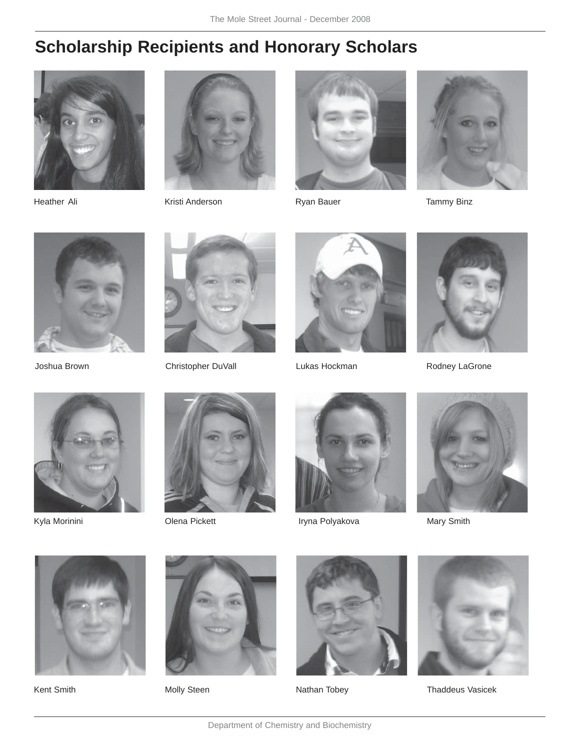# **Scholarship Recipients and Honorary Scholars**





Heather Ali **Kristi Anderson** Ryan Bauer **Tammy Binz** 









Joshua Brown **Christopher DuVall** Lukas Hockman **Rodney LaGrone** 











Kyla Morinini **Nary Smith** Olena Pickett **Iryna Polyakova** Mary Smith











Kent Smith **Molly Steen** Molly Steen Nathan Tobey **Nathan Tobey** Thaddeus Vasicek